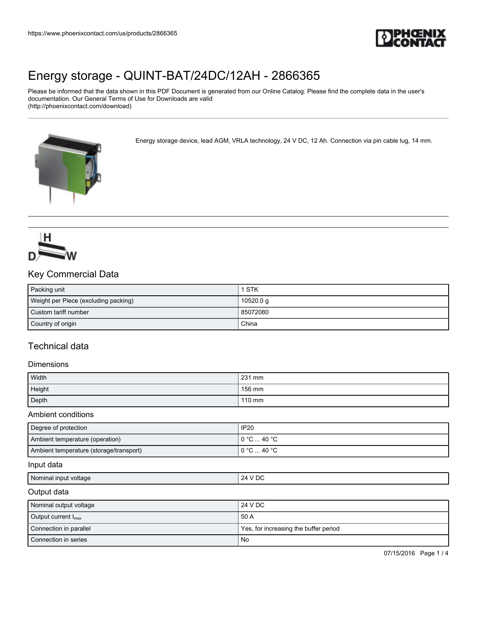

Please be informed that the data shown in this PDF Document is generated from our Online Catalog. Please find the complete data in the user's documentation. Our General Terms of Use for Downloads are valid (http://phoenixcontact.com/download)

Energy storage device, lead AGM, VRLA technology, 24 V DC, 12 Ah. Connection via pin cable lug, 14 mm.





## Key Commercial Data

| Packing unit                         | 1 STK     |
|--------------------------------------|-----------|
| Weight per Piece (excluding packing) | 10520.0 g |
| Custom tariff number                 | 85072080  |
| Country of origin                    | China     |

# Technical data

### Dimensions

| Width  | 231 mm |
|--------|--------|
| Height | 156 mm |
| Depth  | 110 mm |

### Ambient conditions

| Degree of protection                    | <b>IP20</b>                           |
|-----------------------------------------|---------------------------------------|
| Ambient temperature (operation)         | $0^{\circ}$ C $$ 40 $^{\circ}$ C $^-$ |
| Ambient temperature (storage/transport) | $0^{\circ}$ C $\dots$ 40 $^{\circ}$ C |

#### Input data

| Nominal input<br>voltage | DC<br>'λΔ<br>$\mathbf{v}$<br>$\sim$ |
|--------------------------|-------------------------------------|
|                          |                                     |

#### Output data

| Nominal output voltage          | 124 V DC                              |
|---------------------------------|---------------------------------------|
| Output current $I_{\text{max}}$ | 50 A                                  |
| Connection in parallel          | Yes, for increasing the buffer period |
| Connection in series            | No                                    |

07/15/2016 Page 1 / 4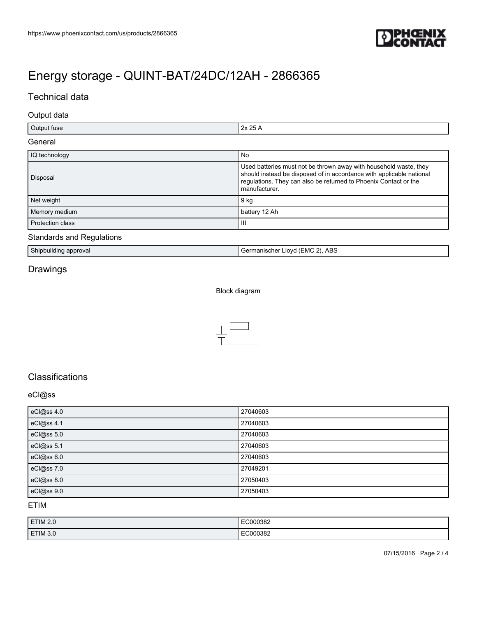

# Technical data

### Output data

| Output fuse      | 2x 25 A                                                                                                                                                                                                                        |
|------------------|--------------------------------------------------------------------------------------------------------------------------------------------------------------------------------------------------------------------------------|
| General          |                                                                                                                                                                                                                                |
| IQ technology    | No                                                                                                                                                                                                                             |
| Disposal         | Used batteries must not be thrown away with household waste, they<br>should instead be disposed of in accordance with applicable national<br>regulations. They can also be returned to Phoenix Contact or the<br>manufacturer. |
| Net weight       | 9 kg                                                                                                                                                                                                                           |
| Memory medium    | battery 12 Ah                                                                                                                                                                                                                  |
| Protection class | Ш                                                                                                                                                                                                                              |

## Standards and Regulations

| $\cdots$<br>Chinn.<br>approval<br>סווני | ). ABS<br>anıscher<br><u>_</u><br>-lovc<br>∵⊏MU ∟ |
|-----------------------------------------|---------------------------------------------------|
|-----------------------------------------|---------------------------------------------------|

# Drawings

Block diagram



# **Classifications**

### eCl@ss

| eCl@ss 4.0 | 27040603 |
|------------|----------|
| eCl@ss 4.1 | 27040603 |
| eCl@ss 5.0 | 27040603 |
| eCl@ss 5.1 | 27040603 |
| eCl@ss 6.0 | 27040603 |
| eCl@ss 7.0 | 27049201 |
| eCl@ss 8.0 | 27050403 |
| eCl@ss 9.0 | 27050403 |

## ETIM

| ETIM 2.0 | EC000382 |
|----------|----------|
| ETIM 3.0 | EC000382 |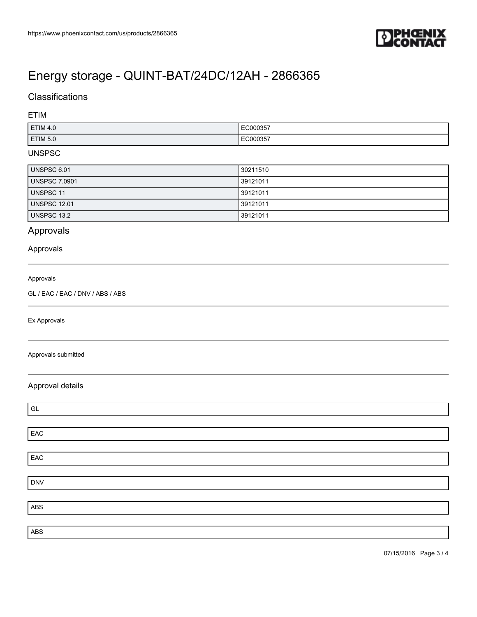

# **Classifications**

ETIM

| <b>ETIM 4.0</b> | C000357<br>. |
|-----------------|--------------|
| <b>ETIM 5.0</b> | :C000357     |

### UNSPSC

| UNSPSC 6.01          | 30211510 |
|----------------------|----------|
| <b>UNSPSC 7.0901</b> | 39121011 |
| UNSPSC 11            | 39121011 |
| <b>UNSPSC 12.01</b>  | 39121011 |
| UNSPSC 13.2          | 39121011 |

# Approvals

### Approvals

#### Approvals

GL / EAC / EAC / DNV / ABS / ABS

Ex Approvals

#### Approvals submitted

## Approval details

| GL         |  |
|------------|--|
|            |  |
| EAC        |  |
|            |  |
| EAC        |  |
|            |  |
| <b>DNV</b> |  |
|            |  |
| ABS        |  |
|            |  |
| ABS        |  |